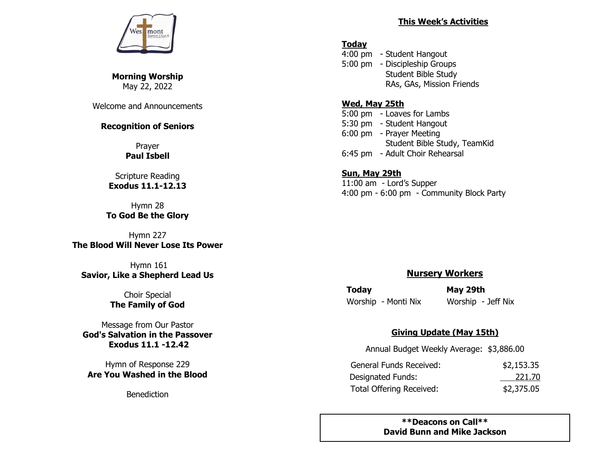

**Morning Worship**  May 22, 2022

Welcome and Announcements

### **Recognition of Seniors**

Prayer **Paul Isbell**

## Scripture Reading **Exodus 11.1-12.13**

Hymn 28 **To God Be the Glory**

Hymn 227 **The Blood Will Never Lose Its Power**

Hymn 161 **Savior, Like a Shepherd Lead Us**

> Choir Special **The Family of God**

Message from Our Pastor **God's Salvation in the Passover Exodus 11.1 -12.42** 

Hymn of Response 229 **Are You Washed in the Blood**

Benediction

#### **This Week's Activities**

## **Today**

4:00 pm - Student Hangout 5:00 pm - Discipleship Groups Student Bible Study RAs, GAs, Mission Friends

#### **Wed, May 25th**

5:00 pm - Loaves for Lambs 5:30 pm - Student Hangout 6:00 pm - Prayer Meeting Student Bible Study, TeamKid 6:45 pm - Adult Choir Rehearsal

#### **Sun, May 29th** 11:00 am - Lord's Supper 4:00 pm - 6:00 pm - Community Block Party

# **Nursery Workers**

**Today May 29th**  Worship - Monti Nix Worship - Jeff Nix

# **Giving Update (May 15th)**

Annual Budget Weekly Average: \$3,886.00

| General Funds Received:         | \$2,153.35 |
|---------------------------------|------------|
| Designated Funds:               | 221.70     |
| <b>Total Offering Received:</b> | \$2,375.05 |

**\*\*Deacons on Call\*\* David Bunn and Mike Jackson**